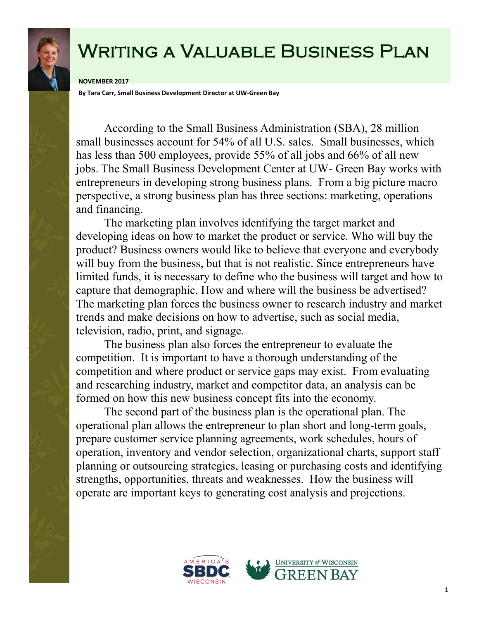## Writing a Valuable Business Plan

## **NOVEMBER 2017**

**By Tara Carr, Small Business Development Director at UW-Green Bay**

According to the Small Business Administration (SBA), 28 million small businesses account for 54% of all U.S. sales. Small businesses, which has less than 500 employees, provide 55% of all jobs and 66% of all new jobs. The Small Business Development Center at UW- Green Bay works with entrepreneurs in developing strong business plans. From a big picture macro perspective, a strong business plan has three sections: marketing, operations and financing.

The marketing plan involves identifying the target market and developing ideas on how to market the product or service. Who will buy the product? Business owners would like to believe that everyone and everybody will buy from the business, but that is not realistic. Since entrepreneurs have limited funds, it is necessary to define who the business will target and how to capture that demographic. How and where will the business be advertised? The marketing plan forces the business owner to research industry and market trends and make decisions on how to advertise, such as social media, television, radio, print, and signage.

The business plan also forces the entrepreneur to evaluate the competition. It is important to have a thorough understanding of the competition and where product or service gaps may exist. From evaluating and researching industry, market and competitor data, an analysis can be formed on how this new business concept fits into the economy.

The second part of the business plan is the operational plan. The operational plan allows the entrepreneur to plan short and long-term goals, prepare customer service planning agreements, work schedules, hours of operation, inventory and vendor selection, organizational charts, support staff planning or outsourcing strategies, leasing or purchasing costs and identifying strengths, opportunities, threats and weaknesses. How the business will operate are important keys to generating cost analysis and projections.